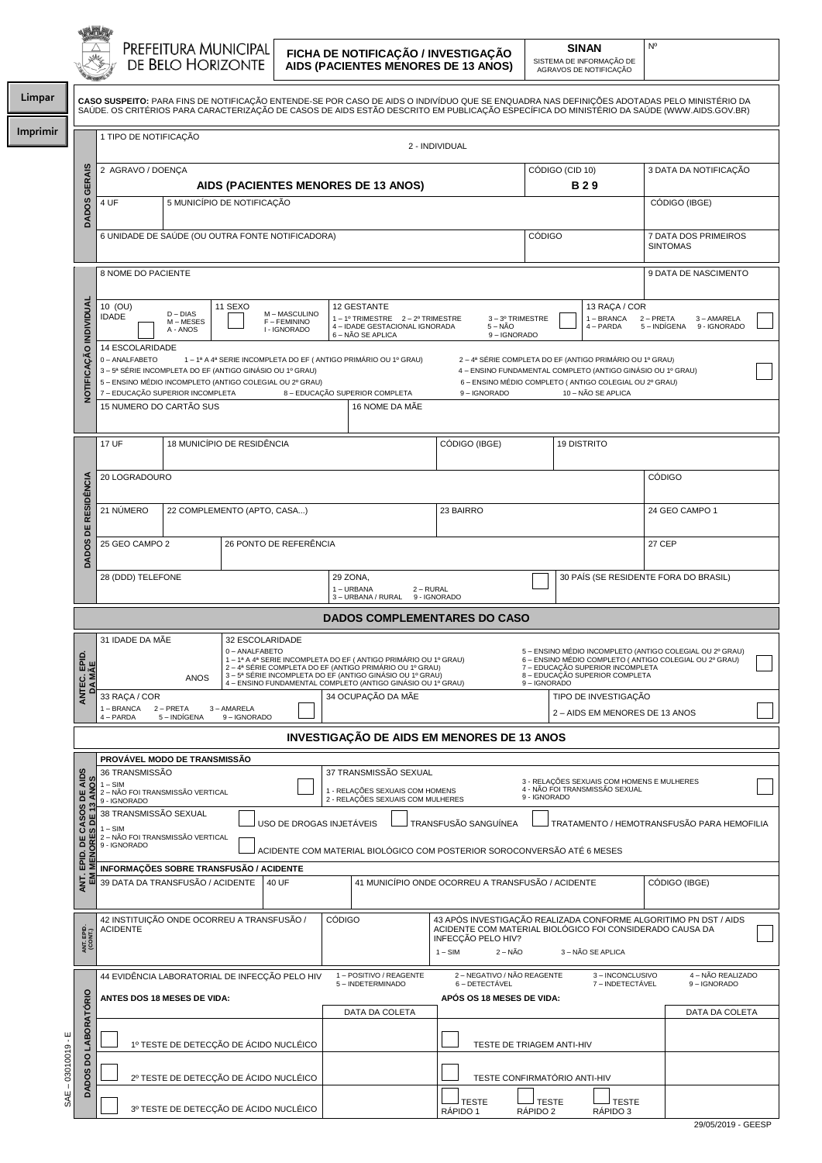**Limpar**

**Imprimir**

**FICHA DE NOTIFICAÇÃO / INVESTIGAÇÃO AIDS (PACIENTES MENORES DE 13 ANOS)**

**SINAN** SISTEMA DE INFORMAÇÃO DE AGRAVOS DE NOTIFICAÇÃO Nº

| <b>THE ABOVE OF THE ABOVE AND</b> |                                                                                                                                                                                                                                                                                                |  |                |                 |                       |  |
|-----------------------------------|------------------------------------------------------------------------------------------------------------------------------------------------------------------------------------------------------------------------------------------------------------------------------------------------|--|----------------|-----------------|-----------------------|--|
|                                   | <b>CASO SUSPEITO:</b> PARA FINS DE NOTIFICACÃO ENTENDE-SE POR CASO DE AIDS O INDIVÍDUO QUE SE ENQUADRA NAS DEFINICÕES ADOTADAS PELO MINISTÉRIO DA<br>SAÚDE. OS CRITÉRIOS PARA CARACTERIZAÇÃO DE CASOS DE AIDS ESTÃO DESCRITO EM PUBLICAÇÃO ESPECÍFICA DO MINISTÉRIO DA SAÚDE (WWW.AIDS.GOV.BR) |  |                |                 |                       |  |
|                                   | 1 TIPO DE NOTIFICACÃO                                                                                                                                                                                                                                                                          |  | 2 - INDIVIDUAL |                 |                       |  |
|                                   | 2 AGRAVO / DOENCA                                                                                                                                                                                                                                                                              |  |                | CÓDIGO (CID 10) | 3 DATA DA NOTIFICACÃO |  |
|                                   | AIDE (DACIENTES MENODES DE 42 ANOS)                                                                                                                                                                                                                                                            |  | <b>D 2 0</b>   |                 |                       |  |

|                              | GERAIS                                                | 2 AGRAVO / DOENÇA                                                                                                                                                                                                                                                                                                                                                                                                                                                                                                                                                       |                                     |         |                                             |                                                        |                                                                                                     | CÓDIGO (CID 10)<br><b>B29</b>                   |                          |                                       | 3 DATA DA NOTIFICAÇÃO                      |                                                          |  |
|------------------------------|-------------------------------------------------------|-------------------------------------------------------------------------------------------------------------------------------------------------------------------------------------------------------------------------------------------------------------------------------------------------------------------------------------------------------------------------------------------------------------------------------------------------------------------------------------------------------------------------------------------------------------------------|-------------------------------------|---------|---------------------------------------------|--------------------------------------------------------|-----------------------------------------------------------------------------------------------------|-------------------------------------------------|--------------------------|---------------------------------------|--------------------------------------------|----------------------------------------------------------|--|
|                              | S                                                     | AIDS (PACIENTES MENORES DE 13 ANOS)<br>5 MUNICÍPIO DE NOTIFICAÇÃO<br>4 UF                                                                                                                                                                                                                                                                                                                                                                                                                                                                                               |                                     |         |                                             |                                                        |                                                                                                     |                                                 | CÓDIGO (IBGE)            |                                       |                                            |                                                          |  |
|                              | DADO <sub>3</sub>                                     |                                                                                                                                                                                                                                                                                                                                                                                                                                                                                                                                                                         |                                     |         |                                             |                                                        |                                                                                                     |                                                 |                          |                                       |                                            |                                                          |  |
|                              |                                                       | CÓDIGO<br>6 UNIDADE DE SAÚDE (OU OUTRA FONTE NOTIFICADORA)                                                                                                                                                                                                                                                                                                                                                                                                                                                                                                              |                                     |         |                                             |                                                        |                                                                                                     | 7 DATA DOS PRIMEIROS<br><b>SINTOMAS</b>         |                          |                                       |                                            |                                                          |  |
|                              |                                                       | 8 NOME DO PACIENTE                                                                                                                                                                                                                                                                                                                                                                                                                                                                                                                                                      |                                     |         |                                             |                                                        |                                                                                                     | 9 DATA DE NASCIMENTO                            |                          |                                       |                                            |                                                          |  |
|                              |                                                       |                                                                                                                                                                                                                                                                                                                                                                                                                                                                                                                                                                         |                                     |         |                                             |                                                        |                                                                                                     |                                                 |                          |                                       |                                            |                                                          |  |
|                              | INDIVIDUAL                                            | 10 (OU)<br><b>IDADE</b>                                                                                                                                                                                                                                                                                                                                                                                                                                                                                                                                                 | $D$ – $DIAS$<br>M-MESES<br>A - ANOS | 11 SEXO | M-MASCULINO<br>F - FEMININO<br>I - IGNORADO |                                                        | 12 GESTANTE<br>1-1º TRIMESTRE 2-2º TRIMESTRE<br>4 - IDADE GESTACIONAL IGNORADA<br>6 – NÃO SE APLICA | 3-3º TRIMESTRE<br>$5 - N\bar{A}O$<br>9-IGNORADO |                          |                                       | 13 RAÇA / COR<br>1 - BRANCA<br>$4 - PARDA$ | 2 - PRETA<br>3 - AMARELA<br>5 – INDÍGENA<br>9 - IGNORADO |  |
|                              | <b>OTIFICACÃO</b>                                     | 14 ESCOLARIDADE<br>0-ANALFABETO<br>1 - 1ª A 4ª SERIE INCOMPLETA DO EF (ANTIGO PRIMÁRIO OU 1º GRAU)<br>2 – 4ª SÉRIE COMPLETA DO EF (ANTIGO PRIMÁRIO OU 1º GRAU)<br>3 - 5ª SÉRIE INCOMPLETA DO EF (ANTIGO GINÁSIO OU 1º GRAU)<br>4 - ENSINO FUNDAMENTAL COMPLETO (ANTIGO GINÁSIO OU 1º GRAU)<br>5 – ENSINO MÉDIO INCOMPLETO (ANTIGO COLEGIAL OU 2º GRAU)<br>6 - ENSINO MÉDIO COMPLETO (ANTIGO COLEGIAL OU 2º GRAU)<br>7 - EDUCAÇÃO SUPERIOR INCOMPLETA<br>8 - EDUCAÇÃO SUPERIOR COMPLETA<br>9-IGNORADO<br>10 - NÃO SE APLICA<br>15 NUMERO DO CARTÃO SUS<br>16 NOME DA MÃE |                                     |         |                                             |                                                        |                                                                                                     |                                                 |                          |                                       |                                            |                                                          |  |
|                              |                                                       |                                                                                                                                                                                                                                                                                                                                                                                                                                                                                                                                                                         |                                     |         |                                             |                                                        |                                                                                                     |                                                 |                          |                                       |                                            |                                                          |  |
|                              |                                                       | 17 UF                                                                                                                                                                                                                                                                                                                                                                                                                                                                                                                                                                   | 18 MUNICÍPIO DE RESIDÊNCIA          |         |                                             |                                                        |                                                                                                     | CÓDIGO (IBGE)                                   |                          | <b>19 DISTRITO</b>                    |                                            |                                                          |  |
|                              |                                                       | 20 LOGRADOURO                                                                                                                                                                                                                                                                                                                                                                                                                                                                                                                                                           |                                     |         |                                             |                                                        |                                                                                                     |                                                 |                          |                                       |                                            | <b>CÓDIGO</b>                                            |  |
|                              | <b>RESIDÊNCIA</b>                                     | 21 NÚMERO                                                                                                                                                                                                                                                                                                                                                                                                                                                                                                                                                               | 22 COMPLEMENTO (APTO, CASA)         |         |                                             |                                                        |                                                                                                     | 23 BAIRRO                                       |                          |                                       |                                            | 24 GEO CAMPO 1                                           |  |
|                              | <b>DADOS</b>                                          | BE<br>26 PONTO DE REFERÊNCIA<br>25 GEO CAMPO 2                                                                                                                                                                                                                                                                                                                                                                                                                                                                                                                          |                                     |         |                                             |                                                        |                                                                                                     |                                                 |                          |                                       |                                            | 27 CEP                                                   |  |
|                              |                                                       | 28 (DDD) TELEFONE<br>29 ZONA,<br>1-URBANA<br>2 - RURAL                                                                                                                                                                                                                                                                                                                                                                                                                                                                                                                  |                                     |         |                                             |                                                        |                                                                                                     |                                                 |                          | 30 PAÍS (SE RESIDENTE FORA DO BRASIL) |                                            |                                                          |  |
|                              |                                                       |                                                                                                                                                                                                                                                                                                                                                                                                                                                                                                                                                                         |                                     |         |                                             |                                                        | 3 - URBANA / RURAL 9 - IGNORADO                                                                     |                                                 |                          |                                       |                                            |                                                          |  |
|                              |                                                       |                                                                                                                                                                                                                                                                                                                                                                                                                                                                                                                                                                         |                                     |         |                                             |                                                        |                                                                                                     | <b>DADOS COMPLEMENTARES DO CASO</b>             |                          |                                       |                                            |                                                          |  |
|                              | ANTEC. EPID.<br>DA MÃE                                | 31 IDADE DA MÃE<br>32 ESCOLARIDADE<br>0-ANALFABETO<br>5 – ENSINO MÉDIO INCOMPLETO (ANTIGO COLEGIAL OU 2º GRAU)<br>1 - 1ª A 4ª SERIE INCOMPLETA DO EF (ANTIGO PRIMÁRIO OU 1º GRAU)<br>6 - ENSINO MÉDIO COMPLETO (ANTIGO COLEGIAL OU 2º GRAU)<br>2 – 4ª SÉRIE COMPLETA DO EF (ANTIGO PRIMÁRIO OU 1º GRAU)<br>7 - EDUCAÇÃO SUPERIOR INCOMPLETA<br>3 - 5ª SÉRIE INCOMPLETA DO EF (ANTIGO GINÁSIO OU 1º GRAU)<br>8 - EDUCAÇÃO SUPERIOR COMPLETA<br><b>ANOS</b><br>4 - ENSINO FUNDAMENTAL COMPLETO (ANTIGO GINÁSIO OU 1º GRAU)<br>9-IGNORADO                                  |                                     |         |                                             |                                                        |                                                                                                     |                                                 |                          |                                       |                                            |                                                          |  |
|                              |                                                       | 34 OCUPAÇÃO DA MÃE<br>33 RAÇA / COR<br>1 - BRANCA<br>2 - PRETA<br>3 - AMARELA<br>5 - INDÍGENA<br>9-IGNORADO                                                                                                                                                                                                                                                                                                                                                                                                                                                             |                                     |         |                                             | TIPO DE INVESTIGAÇÃO<br>2 - AIDS EM MENORES DE 13 ANOS |                                                                                                     |                                                 |                          |                                       |                                            |                                                          |  |
|                              |                                                       | 4 - PARDA<br>INVESTIGAÇÃO DE AIDS EM MENORES DE 13 ANOS                                                                                                                                                                                                                                                                                                                                                                                                                                                                                                                 |                                     |         |                                             |                                                        |                                                                                                     |                                                 |                          |                                       |                                            |                                                          |  |
| PROVÁVEL MODO DE TRANSMISSÃO |                                                       |                                                                                                                                                                                                                                                                                                                                                                                                                                                                                                                                                                         |                                     |         |                                             |                                                        |                                                                                                     |                                                 |                          |                                       |                                            |                                                          |  |
|                              | San                                                   | 36 TRANSMISSÃO<br>37 TRANSMISSÃO SEXUAL<br>ဖွ<br>3 - RELAÇÕES SEXUAIS COM HOMENS E MULHERES<br>$1 - SIM$<br>4 - NÃO FOI TRANSMISSÃO SEXUAL<br>1 - RELAÇÕES SEXUAIS COM HOMENS<br>2 - RELAÇÕES SEXUAIS COM MULHERES<br>2 - NÃO FOI TRANSMISSÃO VERTICAL<br>9 - IGNORADO                                                                                                                                                                                                                                                                                                  |                                     |         |                                             |                                                        |                                                                                                     |                                                 |                          |                                       |                                            |                                                          |  |
|                              |                                                       | 9 - IGNORADO<br>38 TRANSMISSÃO SEXUAL<br>TRANSFUSÃO SANGUÍNEA<br>TRATAMENTO / HEMOTRANSFUSÃO PARA HEMOFILIA                                                                                                                                                                                                                                                                                                                                                                                                                                                             |                                     |         |                                             |                                                        |                                                                                                     |                                                 |                          |                                       |                                            |                                                          |  |
|                              | <b>ANT. EPID. DE CASOS DE<br/>EM MENORES DE 13 AN</b> | USO DE DROGAS INJETÁVEIS<br>$1 - SIM$<br>2 - NÃO FOI TRANSMISSÃO VERTICAL<br>9 - IGNORADO<br>ACIDENTE COM MATERIAL BIOLÓGICO COM POSTERIOR SOROCONVERSÃO ATÉ 6 MESES                                                                                                                                                                                                                                                                                                                                                                                                    |                                     |         |                                             |                                                        |                                                                                                     |                                                 |                          |                                       |                                            |                                                          |  |
|                              |                                                       | INFORMAÇÕES SOBRE TRANSFUSÃO / ACIDENTE                                                                                                                                                                                                                                                                                                                                                                                                                                                                                                                                 |                                     |         |                                             |                                                        |                                                                                                     |                                                 |                          |                                       |                                            |                                                          |  |
|                              |                                                       | 39 DATA DA TRANSFUSÃO / ACIDENTE<br>41 MUNICÍPIO ONDE OCORREU A TRANSFUSÃO / ACIDENTE<br>40 UF                                                                                                                                                                                                                                                                                                                                                                                                                                                                          |                                     |         |                                             |                                                        |                                                                                                     |                                                 |                          |                                       | CÓDIGO (IBGE)                              |                                                          |  |
|                              | ANT. EPID.<br>(CONT.)                                 | 42 INSTITUIÇÃO ONDE OCORREU A TRANSFUSÃO /<br><b>CÓDIGO</b><br>43 APÓS INVESTIGAÇÃO REALIZADA CONFORME ALGORITIMO PN DST / AIDS<br>ACIDENTE COM MATERIAL BIOLÓGICO FOI CONSIDERADO CAUSA DA<br><b>ACIDENTE</b><br>INFECÇÃO PELO HIV?<br>$2 - N\tilde{A}O$<br>3 - NÃO SE APLICA<br>$1 - SIM$                                                                                                                                                                                                                                                                             |                                     |         |                                             |                                                        |                                                                                                     |                                                 |                          |                                       |                                            |                                                          |  |
|                              |                                                       | 44 EVIDÊNCIA LABORATORIAL DE INFECÇÃO PELO HIV                                                                                                                                                                                                                                                                                                                                                                                                                                                                                                                          |                                     |         |                                             |                                                        | 1 - POSITIVO / REAGENTE<br>5 - INDETERMINADO                                                        | 2 - NEGATIVO / NÃO REAGENTE<br>6 - DETECTÁVEL   |                          |                                       | 3-INCONCLUSIVO<br>7 - INDETECTÁVEL         | 4 - NÃO REALIZADO<br>9-IGNORADO                          |  |
|                              |                                                       | <b>ANTES DOS 18 MESES DE VIDA:</b>                                                                                                                                                                                                                                                                                                                                                                                                                                                                                                                                      |                                     |         |                                             |                                                        | DATA DA COLETA                                                                                      | APÓS OS 18 MESES DE VIDA:                       |                          |                                       |                                            | DATA DA COLETA                                           |  |
| $-03010019 - E$              | <b>LABORATÓRIO</b>                                    |                                                                                                                                                                                                                                                                                                                                                                                                                                                                                                                                                                         |                                     |         |                                             |                                                        |                                                                                                     |                                                 |                          |                                       |                                            |                                                          |  |
|                              | <b>DO</b>                                             | 1º TESTE DE DETECÇÃO DE ÁCIDO NUCLÉICO<br>2º TESTE DE DETECÇÃO DE ÁCIDO NUCLÉICO                                                                                                                                                                                                                                                                                                                                                                                                                                                                                        |                                     |         |                                             |                                                        |                                                                                                     | TESTE DE TRIAGEM ANTI-HIV                       |                          |                                       |                                            |                                                          |  |
|                              | <b>DADOS</b>                                          |                                                                                                                                                                                                                                                                                                                                                                                                                                                                                                                                                                         |                                     |         |                                             |                                                        |                                                                                                     | TESTE CONFIRMATÓRIO ANTI-HIV                    |                          |                                       |                                            |                                                          |  |
| SAE                          |                                                       |                                                                                                                                                                                                                                                                                                                                                                                                                                                                                                                                                                         |                                     |         | 3º TESTE DE DETECÇÃO DE ÁCIDO NUCLÉICO      |                                                        |                                                                                                     | J TESTE<br>RÁPIDO 1                             | <b>TESTE</b><br>RÁPIDO 2 |                                       | J TESTE<br>RÁPIDO 3                        |                                                          |  |